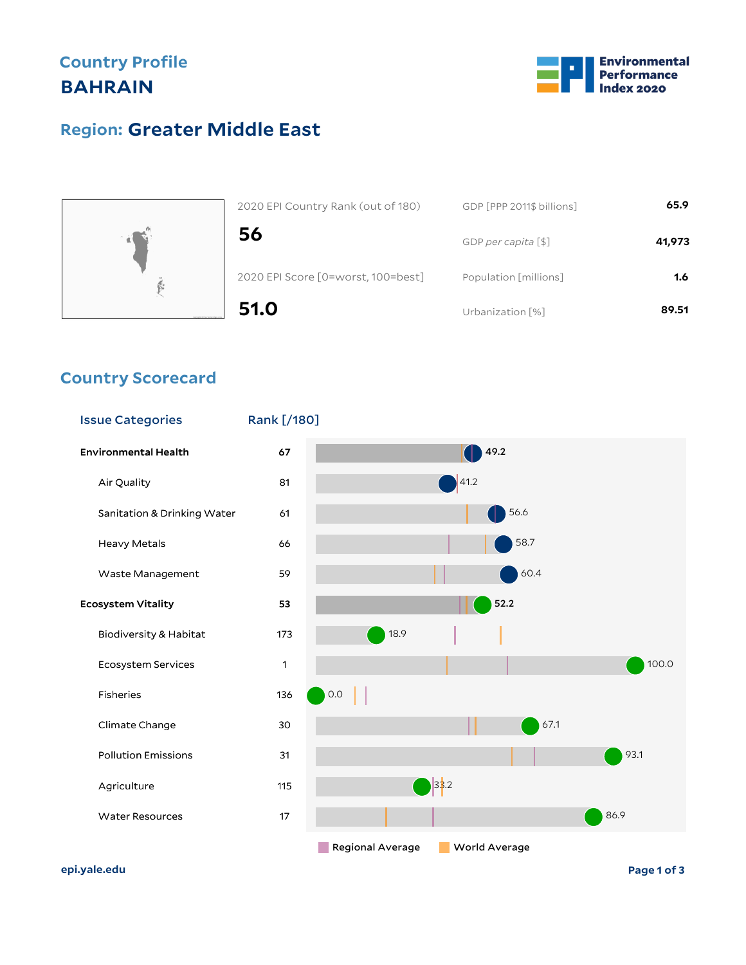## **Country Profile BAHRAIN**



## **Greater Middle East Region:**



| 2020 EPI Country Rank (out of 180) | GDP [PPP 2011\$ billions] | 65.9   |
|------------------------------------|---------------------------|--------|
| 56                                 | GDP per capita [\$]       | 41,973 |
| 2020 EPI Score [0=worst, 100=best] | Population [millions]     | 1.6    |
| 51.0                               | Urbanization [%]          | 89.51  |

#### **Country Scorecard**



**epi.yale.edu Page 1 of 3**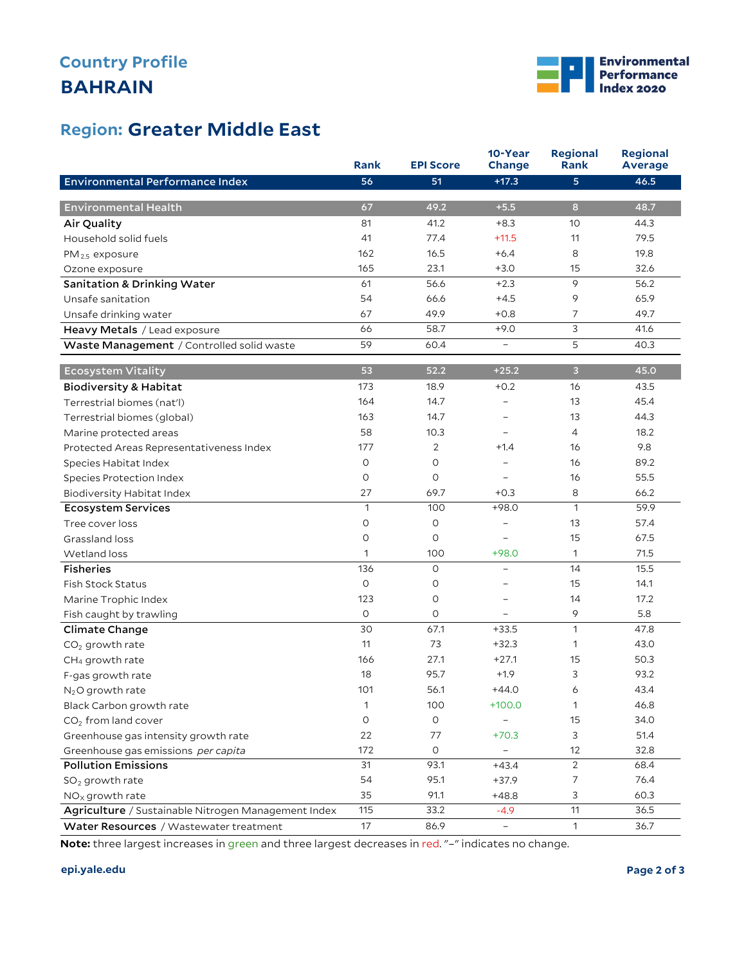## **BAHRAIN Country Profile**



### **Greater Middle East Region:**

|                                                     | <b>Rank</b>  | <b>EPI Score</b> | 10-Year<br>Change        | <b>Regional</b><br>Rank | <b>Regional</b><br><b>Average</b> |
|-----------------------------------------------------|--------------|------------------|--------------------------|-------------------------|-----------------------------------|
| Environmental Performance Index                     | 56           | 51               | $+17.3$                  | 5                       | 46.5                              |
|                                                     |              |                  |                          |                         |                                   |
| <b>Environmental Health</b>                         | 67           | 49.2             | $+5.5$                   | 8                       | 48.7                              |
| Air Quality                                         | 81           | 41.2             | $+8.3$                   | 10                      | 44.3                              |
| Household solid fuels                               | 41           | 77.4             | $+11.5$                  | 11                      | 79.5                              |
| $PM_{2.5}$ exposure                                 | 162          | 16.5             | $+6.4$                   | 8                       | 19.8                              |
| Ozone exposure                                      | 165          | 23.1             | $+3.0$                   | 15                      | 32.6                              |
| <b>Sanitation &amp; Drinking Water</b>              | 61           | 56.6             | $+2.3$                   | 9                       | 56.2                              |
| Unsafe sanitation                                   | 54           | 66.6             | $+4.5$                   | 9                       | 65.9                              |
| Unsafe drinking water                               | 67           | 49.9             | $+0.8$                   | $\overline{7}$          | 49.7                              |
| Heavy Metals / Lead exposure                        | 66           | 58.7             | $+9.0$                   | 3                       | 41.6                              |
| Waste Management / Controlled solid waste           | 59           | 60.4             | $\overline{\phantom{a}}$ | 5                       | 40.3                              |
| <b>Ecosystem Vitality</b>                           | 53           | 52.2             | $+25.2$                  | 3                       | 45.0                              |
| <b>Biodiversity &amp; Habitat</b>                   | 173          | 18.9             | $+0.2$                   | 16                      | 43.5                              |
| Terrestrial biomes (nat'l)                          | 164          | 14.7             | -                        | 13                      | 45.4                              |
| Terrestrial biomes (global)                         | 163          | 14.7             |                          | 13                      | 44.3                              |
| Marine protected areas                              | 58           | 10.3             | ÷,                       | $\overline{4}$          | 18.2                              |
| Protected Areas Representativeness Index            | 177          | 2                | $+1.4$                   | 16                      | 9.8                               |
| Species Habitat Index                               | $\circ$      | $\circ$          |                          | 16                      | 89.2                              |
| Species Protection Index                            | O            | $\circ$          |                          | 16                      | 55.5                              |
| Biodiversity Habitat Index                          | 27           | 69.7             | $+0.3$                   | 8                       | 66.2                              |
| <b>Ecosystem Services</b>                           | $\mathbf{1}$ | 100              | $+98.0$                  | $\mathbf{1}$            | 59.9                              |
| Tree cover loss                                     | $\circ$      | 0                | -                        | 13                      | 57.4                              |
| Grassland loss                                      | O            | $\circ$          |                          | 15                      | 67.5                              |
| Wetland loss                                        | 1            | 100              | $+98.0$                  | $\mathbf{1}$            | 71.5                              |
| <b>Fisheries</b>                                    | 136          | $\circ$          | $\qquad \qquad -$        | 14                      | 15.5                              |
| <b>Fish Stock Status</b>                            | $\circ$      | 0                | $\overline{a}$           | 15                      | 14.1                              |
| Marine Trophic Index                                | 123          | $\circ$          | -                        | 14                      | 17.2                              |
| Fish caught by trawling                             | O            | 0                |                          | 9                       | 5.8                               |
| Climate Change                                      | 30           | 67.1             | $+33.5$                  | $\mathbf{1}$            | 47.8                              |
| $CO2$ growth rate                                   | 11           | 73               | $+32.3$                  | $\mathbf{1}$            | 43.0                              |
| CH <sub>4</sub> growth rate                         | 166          | 27.1             | $+27.1$                  | 15                      | 50.3                              |
| F-gas growth rate                                   | 18           | 95.7             | $+1.9$                   | 3                       | 93.2                              |
| $N2O$ growth rate                                   | 101          | 56.1             | $+44.0$                  | 6                       | 43.4                              |
| Black Carbon growth rate                            | 1            | 100              | $+100.0$                 | $\mathbf{1}$            | 46.8                              |
| CO <sub>2</sub> from land cover                     | $\circ$      | O                |                          | 15                      | 34.0                              |
| Greenhouse gas intensity growth rate                | 22           | 77               | $+70.3$                  | 3                       | 51.4                              |
| Greenhouse gas emissions per capita                 | 172          | $\circ$          | $\overline{\phantom{0}}$ | 12                      | 32.8                              |
| <b>Pollution Emissions</b>                          | 31           | 93.1             | $+43.4$                  | $\overline{2}$          | 68.4                              |
| $SO2$ growth rate                                   | 54           | 95.1             | $+37.9$                  | $\overline{7}$          | 76.4                              |
| $NOx$ growth rate                                   | 35           | 91.1             | $+48.8$                  | 3                       | 60.3                              |
| Agriculture / Sustainable Nitrogen Management Index | 115          | 33.2             | $-4.9$                   | 11                      | 36.5                              |
| Water Resources / Wastewater treatment              | 17           | 86.9             | $\overline{\phantom{0}}$ | $\mathbf{1}$            | 36.7                              |

**Note:** three largest increases in green and three largest decreases in red. "–" indicates no change.

#### **epi.yale.edu Page 2 of 3**